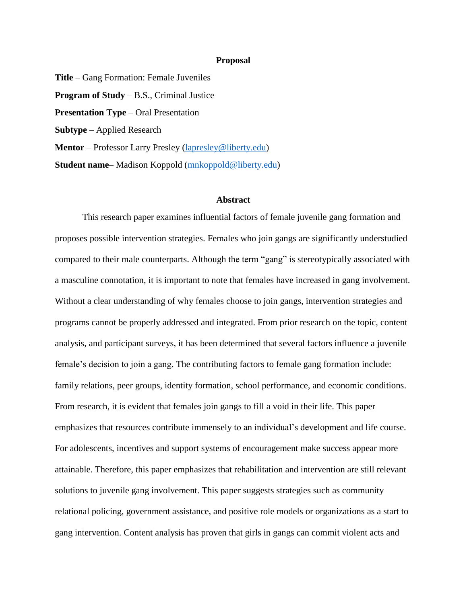## **Proposal**

**Title** – Gang Formation: Female Juveniles **Program of Study** – B.S., Criminal Justice **Presentation Type** – Oral Presentation **Subtype** – Applied Research **Mentor** – Professor Larry Presley [\(lapresley@liberty.edu\)](mailto:lapresley@liberty.edu) **Student name**– Madison Koppold [\(mnkoppold@liberty.edu\)](mailto:mnkoppold@liberty.edu)

## **Abstract**

This research paper examines influential factors of female juvenile gang formation and proposes possible intervention strategies. Females who join gangs are significantly understudied compared to their male counterparts. Although the term "gang" is stereotypically associated with a masculine connotation, it is important to note that females have increased in gang involvement. Without a clear understanding of why females choose to join gangs, intervention strategies and programs cannot be properly addressed and integrated. From prior research on the topic, content analysis, and participant surveys, it has been determined that several factors influence a juvenile female's decision to join a gang. The contributing factors to female gang formation include: family relations, peer groups, identity formation, school performance, and economic conditions. From research, it is evident that females join gangs to fill a void in their life. This paper emphasizes that resources contribute immensely to an individual's development and life course. For adolescents, incentives and support systems of encouragement make success appear more attainable. Therefore, this paper emphasizes that rehabilitation and intervention are still relevant solutions to juvenile gang involvement. This paper suggests strategies such as community relational policing, government assistance, and positive role models or organizations as a start to gang intervention. Content analysis has proven that girls in gangs can commit violent acts and